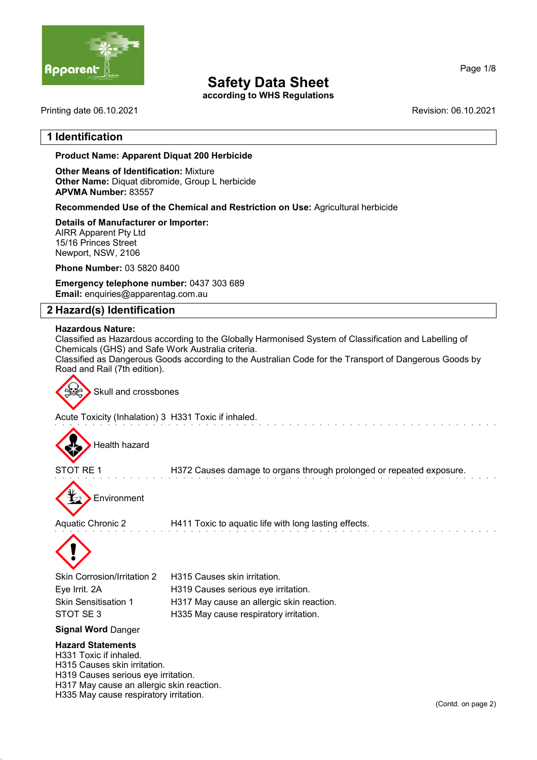

according to WHS Regulations

Printing date 06.10.2021 Revision: 06.10.2021

# 1 Identification

Page 1/8

# Product Name: Apparent Diquat 200 Herbicide

Other Means of Identification: Mixture Other Name: Diquat dibromide, Group L herbicide APVMA Number: 83557

Recommended Use of the Chemical and Restriction on Use: Agricultural herbicide

#### Details of Manufacturer or Importer:

AIRR Apparent Pty Ltd 15/16 Princes Street Newport, NSW, 2106

Phone Number: 03 5820 8400

Emergency telephone number: 0437 303 689 Email: enquiries@apparentag.com.au

# 2 Hazard(s) Identification

#### Hazardous Nature:

Classified as Hazardous according to the Globally Harmonised System of Classification and Labelling of Chemicals (GHS) and Safe Work Australia criteria. Classified as Dangerous Goods according to the Australian Code for the Transport of Dangerous Goods by Road and Rail (7th edition).



Acute Toxicity (Inhalation) 3 H331 Toxic if inhaled.



STOT RE 1 H372 Causes damage to organs through prolonged or repeated exposure.

Environment

Aquatic Chronic 2 H411 Toxic to aquatic life with long lasting effects.



| Skin Corrosion/Irritation 2 | H315 Causes skin irritation.              |
|-----------------------------|-------------------------------------------|
| Eye Irrit. 2A               | H319 Causes serious eye irritation.       |
| Skin Sensitisation 1        | H317 May cause an allergic skin reaction. |
| STOT SE 3                   | H335 May cause respiratory irritation.    |
|                             |                                           |

#### Signal Word Danger

#### Hazard Statements

H331 Toxic if inhaled. H315 Causes skin irritation. H319 Causes serious eye irritation. H317 May cause an allergic skin reaction. H335 May cause respiratory irritation.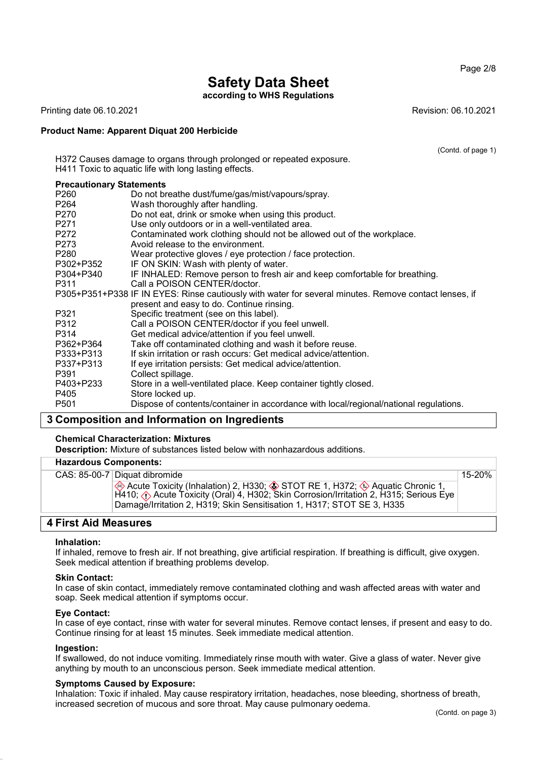Page 2/8

# Safety Data Sheet

according to WHS Regulations

Printing date 06.10.2021 Revision: 06.10.2021

#### Product Name: Apparent Diquat 200 Herbicide

(Contd. of page 1)

| H372 Causes damage to organs through prolonged or repeated exposure.<br>H411 Toxic to aquatic life with long lasting effects. |                                                                                                       |  |  |  |
|-------------------------------------------------------------------------------------------------------------------------------|-------------------------------------------------------------------------------------------------------|--|--|--|
| <b>Precautionary Statements</b>                                                                                               |                                                                                                       |  |  |  |
| P <sub>260</sub>                                                                                                              | Do not breathe dust/fume/gas/mist/vapours/spray.                                                      |  |  |  |
| P264                                                                                                                          | Wash thoroughly after handling.                                                                       |  |  |  |
| P270                                                                                                                          | Do not eat, drink or smoke when using this product.                                                   |  |  |  |
| P271                                                                                                                          | Use only outdoors or in a well-ventilated area.                                                       |  |  |  |
| P272                                                                                                                          | Contaminated work clothing should not be allowed out of the workplace.                                |  |  |  |
| P273                                                                                                                          | Avoid release to the environment.                                                                     |  |  |  |
| P <sub>280</sub>                                                                                                              | Wear protective gloves / eye protection / face protection.                                            |  |  |  |
| P302+P352                                                                                                                     | IF ON SKIN: Wash with plenty of water.                                                                |  |  |  |
| P304+P340                                                                                                                     | IF INHALED: Remove person to fresh air and keep comfortable for breathing.                            |  |  |  |
| P311                                                                                                                          | Call a POISON CENTER/doctor.                                                                          |  |  |  |
|                                                                                                                               | P305+P351+P338 IF IN EYES: Rinse cautiously with water for several minutes. Remove contact lenses, if |  |  |  |
|                                                                                                                               | present and easy to do. Continue rinsing.                                                             |  |  |  |
| P321                                                                                                                          | Specific treatment (see on this label).                                                               |  |  |  |
| P312                                                                                                                          | Call a POISON CENTER/doctor if you feel unwell.                                                       |  |  |  |
| P314                                                                                                                          | Get medical advice/attention if you feel unwell.                                                      |  |  |  |
| P362+P364                                                                                                                     | Take off contaminated clothing and wash it before reuse.                                              |  |  |  |
| P333+P313                                                                                                                     | If skin irritation or rash occurs: Get medical advice/attention.                                      |  |  |  |
| P337+P313                                                                                                                     | If eye irritation persists: Get medical advice/attention.                                             |  |  |  |
| P391                                                                                                                          | Collect spillage.                                                                                     |  |  |  |
| P403+P233                                                                                                                     | Store in a well-ventilated place. Keep container tightly closed.                                      |  |  |  |
| P405                                                                                                                          | Store locked up.                                                                                      |  |  |  |
| P <sub>501</sub>                                                                                                              | Dispose of contents/container in accordance with local/regional/national regulations.                 |  |  |  |
| Composition and Information on Ingradiants                                                                                    |                                                                                                       |  |  |  |

# 3 Composition and Information on Ingredients

#### Chemical Characterization: Mixtures

Description: Mixture of substances listed below with nonhazardous additions.

# Hazardous Components:

|  | CAS: 85-00-7   Diquat dibromide                                                                                                                                                                                                                                           |
|--|---------------------------------------------------------------------------------------------------------------------------------------------------------------------------------------------------------------------------------------------------------------------------|
|  | $\otimes$ Acute Toxicity (Inhalation) 2, H330; $\otimes$ STOT RE 1, H372; $\otimes$ Aquatic Chronic 1,<br>H410; ∧ Acute Toxicity (Oral) 4, H302; Skin Corrosion/Irritation 2, H315; Serious Eye<br>Damage/Irritation 2, H319; Skin Sensitisation 1, H317; STOT SE 3, H335 |

# 4 First Aid Measures

#### Inhalation:

If inhaled, remove to fresh air. If not breathing, give artificial respiration. If breathing is difficult, give oxygen. Seek medical attention if breathing problems develop.

#### Skin Contact:

In case of skin contact, immediately remove contaminated clothing and wash affected areas with water and soap. Seek medical attention if symptoms occur.

#### Eye Contact:

In case of eye contact, rinse with water for several minutes. Remove contact lenses, if present and easy to do. Continue rinsing for at least 15 minutes. Seek immediate medical attention.

#### Ingestion:

If swallowed, do not induce vomiting. Immediately rinse mouth with water. Give a glass of water. Never give anything by mouth to an unconscious person. Seek immediate medical attention.

#### Symptoms Caused by Exposure:

Inhalation: Toxic if inhaled. May cause respiratory irritation, headaches, nose bleeding, shortness of breath, increased secretion of mucous and sore throat. May cause pulmonary oedema.

15-20%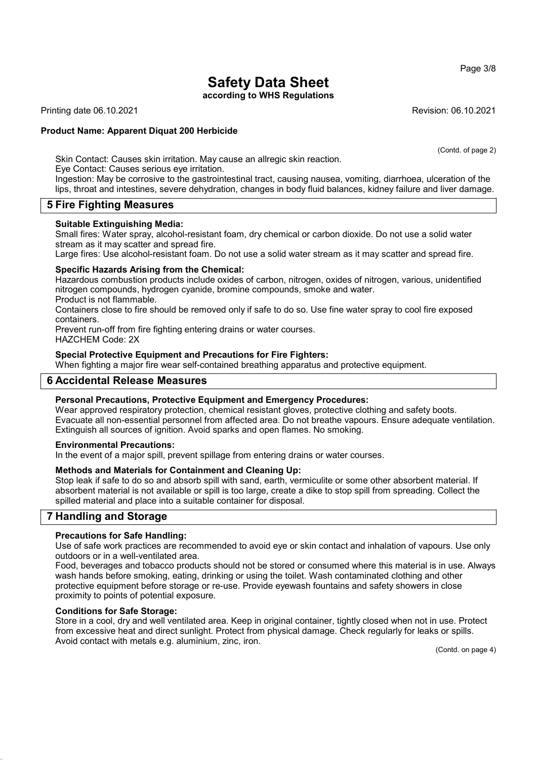Page 3/8

# Safety Data Sheet

according to WHS Regulations

Printing date 06.10.2021 Revision: 06.10.2021

### Product Name: Apparent Diquat 200 Herbicide

(Contd. of page 2)

Skin Contact: Causes skin irritation. May cause an allregic skin reaction.

Eye Contact: Causes serious eye irritation.

Ingestion: May be corrosive to the gastrointestinal tract, causing nausea, vomiting, diarrhoea, ulceration of the lips, throat and intestines, severe dehydration, changes in body fluid balances, kidney failure and liver damage.

# 5 Fire Fighting Measures

#### Suitable Extinguishing Media:

Small fires: Water spray, alcohol-resistant foam, dry chemical or carbon dioxide. Do not use a solid water stream as it may scatter and spread fire.

Large fires: Use alcohol-resistant foam. Do not use a solid water stream as it may scatter and spread fire.

#### Specific Hazards Arising from the Chemical:

Hazardous combustion products include oxides of carbon, nitrogen, oxides of nitrogen, various, unidentified nitrogen compounds, hydrogen cyanide, bromine compounds, smoke and water. Product is not flammable.

Containers close to fire should be removed only if safe to do so. Use fine water spray to cool fire exposed containers.

Prevent run-off from fire fighting entering drains or water courses. HAZCHEM Code: 2X

#### Special Protective Equipment and Precautions for Fire Fighters:

When fighting a major fire wear self-contained breathing apparatus and protective equipment.

# 6 Accidental Release Measures

#### Personal Precautions, Protective Equipment and Emergency Procedures:

Wear approved respiratory protection, chemical resistant gloves, protective clothing and safety boots. Evacuate all non-essential personnel from affected area. Do not breathe vapours. Ensure adequate ventilation. Extinguish all sources of ignition. Avoid sparks and open flames. No smoking.

#### Environmental Precautions:

In the event of a major spill, prevent spillage from entering drains or water courses.

#### Methods and Materials for Containment and Cleaning Up:

Stop leak if safe to do so and absorb spill with sand, earth, vermiculite or some other absorbent material. If absorbent material is not available or spill is too large, create a dike to stop spill from spreading. Collect the spilled material and place into a suitable container for disposal.

# 7 Handling and Storage

#### Precautions for Safe Handling:

Use of safe work practices are recommended to avoid eye or skin contact and inhalation of vapours. Use only outdoors or in a well-ventilated area.

Food, beverages and tobacco products should not be stored or consumed where this material is in use. Always wash hands before smoking, eating, drinking or using the toilet. Wash contaminated clothing and other protective equipment before storage or re-use. Provide eyewash fountains and safety showers in close proximity to points of potential exposure.

#### Conditions for Safe Storage:

Store in a cool, dry and well ventilated area. Keep in original container, tightly closed when not in use. Protect from excessive heat and direct sunlight. Protect from physical damage. Check regularly for leaks or spills. Avoid contact with metals e.g. aluminium, zinc, iron.

(Contd. on page 4)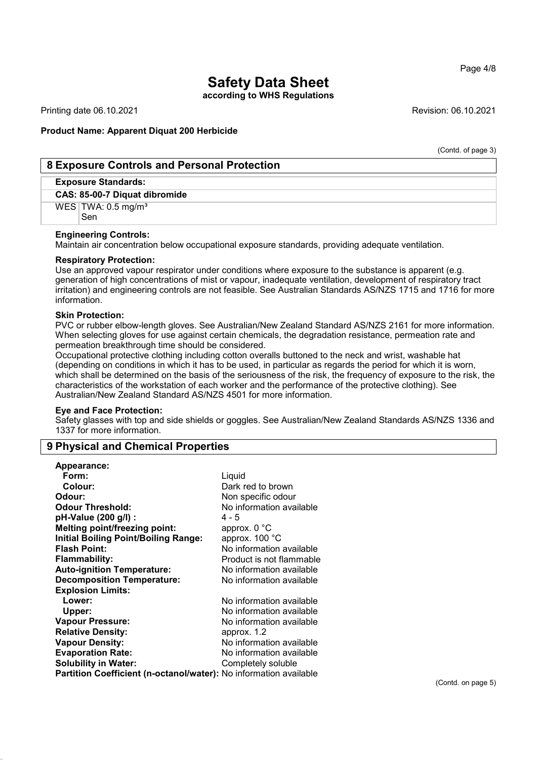according to WHS Regulations

Printing date 06.10.2021 **Revision: 06.10.2021** Revision: 06.10.2021

#### Product Name: Apparent Diquat 200 Herbicide

(Contd. of page 3)

# 8 Exposure Controls and Personal Protection

# Exposure Standards:

CAS: 85-00-7 Diquat dibromide

 $WES$  TWA: 0.5 mg/m<sup>3</sup>

Sen

#### Engineering Controls:

Maintain air concentration below occupational exposure standards, providing adequate ventilation.

#### Respiratory Protection:

Use an approved vapour respirator under conditions where exposure to the substance is apparent (e.g. generation of high concentrations of mist or vapour, inadequate ventilation, development of respiratory tract irritation) and engineering controls are not feasible. See Australian Standards AS/NZS 1715 and 1716 for more information.

#### Skin Protection:

PVC or rubber elbow-length gloves. See Australian/New Zealand Standard AS/NZS 2161 for more information. When selecting gloves for use against certain chemicals, the degradation resistance, permeation rate and permeation breakthrough time should be considered.

Occupational protective clothing including cotton overalls buttoned to the neck and wrist, washable hat (depending on conditions in which it has to be used, in particular as regards the period for which it is worn, which shall be determined on the basis of the seriousness of the risk, the frequency of exposure to the risk, the characteristics of the workstation of each worker and the performance of the protective clothing). See Australian/New Zealand Standard AS/NZS 4501 for more information.

#### Eye and Face Protection:

Safety glasses with top and side shields or goggles. See Australian/New Zealand Standards AS/NZS 1336 and 1337 for more information.

# 9 Physical and Chemical Properties

| <b>Appearance:</b>                                                |                          |
|-------------------------------------------------------------------|--------------------------|
| Form:                                                             | Liquid                   |
| Colour:                                                           | Dark red to brown        |
| Odour:                                                            | Non specific odour       |
| <b>Odour Threshold:</b>                                           | No information available |
| pH-Value (200 g/l) :                                              | 4 - 5                    |
| <b>Melting point/freezing point:</b>                              | approx. $0^{\circ}$ C    |
| <b>Initial Boiling Point/Boiling Range:</b>                       | approx. 100 °C           |
| <b>Flash Point:</b>                                               | No information available |
| <b>Flammability:</b>                                              | Product is not flammable |
| <b>Auto-ignition Temperature:</b>                                 | No information available |
| <b>Decomposition Temperature:</b>                                 | No information available |
| <b>Explosion Limits:</b>                                          |                          |
| Lower:                                                            | No information available |
| Upper:                                                            | No information available |
| <b>Vapour Pressure:</b>                                           | No information available |
| <b>Relative Density:</b>                                          | approx. 1.2              |
| <b>Vapour Density:</b>                                            | No information available |
| <b>Evaporation Rate:</b>                                          | No information available |
| <b>Solubility in Water:</b>                                       | Completely soluble       |
| Partition Coefficient (n-octanol/water): No information available |                          |

Page 4/8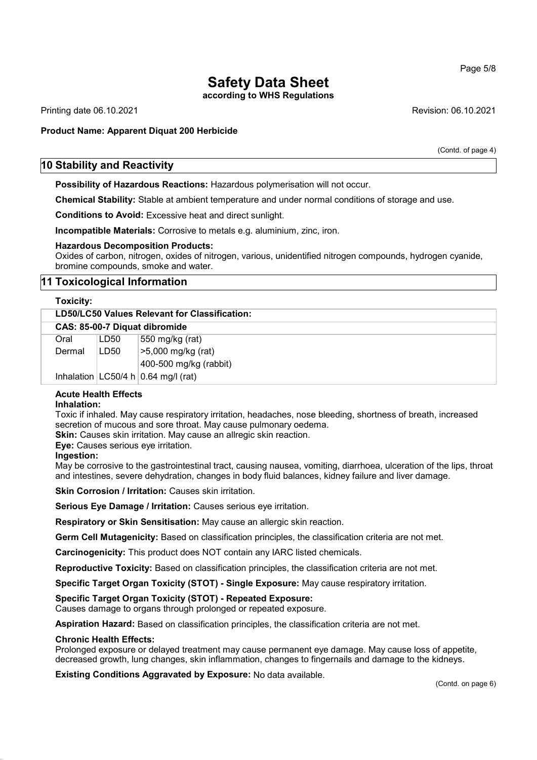according to WHS Regulations

Printing date 06.10.2021 Revision: 06.10.2021

# Product Name: Apparent Diquat 200 Herbicide

(Contd. of page 4)

# 10 Stability and Reactivity

Possibility of Hazardous Reactions: Hazardous polymerisation will not occur.

Chemical Stability: Stable at ambient temperature and under normal conditions of storage and use.

Conditions to Avoid: Excessive heat and direct sunlight.

Incompatible Materials: Corrosive to metals e.g. aluminium, zinc, iron.

#### Hazardous Decomposition Products:

Oxides of carbon, nitrogen, oxides of nitrogen, various, unidentified nitrogen compounds, hydrogen cyanide, bromine compounds, smoke and water.

# 11 Toxicological Information

#### Toxicity:

| LD50/LC50 Values Relevant for Classification: |      |                                        |
|-----------------------------------------------|------|----------------------------------------|
| CAS: 85-00-7 Diquat dibromide                 |      |                                        |
| Oral                                          | LD50 | 550 mg/kg (rat)                        |
| Dermal                                        | LD50 | >5,000 mg/kg (rat)                     |
|                                               |      | 400-500 mg/kg (rabbit)                 |
|                                               |      | Inhalation $ LC50/4 h 0.64 mg/l$ (rat) |

# Acute Health Effects

#### Inhalation:

Toxic if inhaled. May cause respiratory irritation, headaches, nose bleeding, shortness of breath, increased secretion of mucous and sore throat. May cause pulmonary oedema.

Skin: Causes skin irritation. May cause an allregic skin reaction.

Eye: Causes serious eye irritation.

#### Ingestion:

May be corrosive to the gastrointestinal tract, causing nausea, vomiting, diarrhoea, ulceration of the lips, throat and intestines, severe dehydration, changes in body fluid balances, kidney failure and liver damage.

Skin Corrosion / Irritation: Causes skin irritation.

Serious Eye Damage / Irritation: Causes serious eye irritation.

Respiratory or Skin Sensitisation: May cause an allergic skin reaction.

Germ Cell Mutagenicity: Based on classification principles, the classification criteria are not met.

Carcinogenicity: This product does NOT contain any IARC listed chemicals.

Reproductive Toxicity: Based on classification principles, the classification criteria are not met.

Specific Target Organ Toxicity (STOT) - Single Exposure: May cause respiratory irritation.

#### Specific Target Organ Toxicity (STOT) - Repeated Exposure:

Causes damage to organs through prolonged or repeated exposure.

Aspiration Hazard: Based on classification principles, the classification criteria are not met.

#### Chronic Health Effects:

Prolonged exposure or delayed treatment may cause permanent eye damage. May cause loss of appetite, decreased growth, lung changes, skin inflammation, changes to fingernails and damage to the kidneys.

Existing Conditions Aggravated by Exposure: No data available.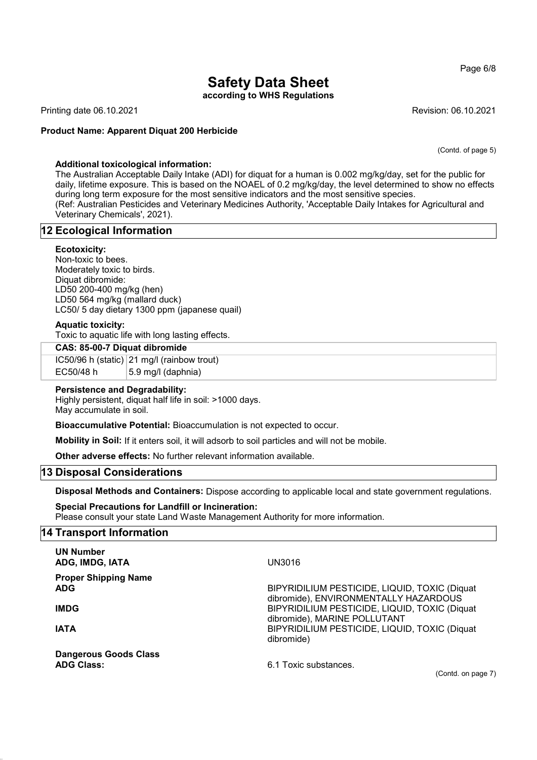according to WHS Regulations

Printing date 06.10.2021 **Revision: 06.10.2021** Revision: 06.10.2021

#### Product Name: Apparent Diquat 200 Herbicide

(Contd. of page 5)

### Additional toxicological information:

The Australian Acceptable Daily Intake (ADI) for diquat for a human is 0.002 mg/kg/day, set for the public for daily, lifetime exposure. This is based on the NOAEL of 0.2 mg/kg/day, the level determined to show no effects during long term exposure for the most sensitive indicators and the most sensitive species. (Ref: Australian Pesticides and Veterinary Medicines Authority, 'Acceptable Daily Intakes for Agricultural and Veterinary Chemicals', 2021).

# 12 Ecological Information

#### Ecotoxicity:

Non-toxic to bees. Moderately toxic to birds. Diquat dibromide: LD50 200-400 mg/kg (hen) LD50 564 mg/kg (mallard duck) LC50/ 5 day dietary 1300 ppm (japanese quail)

#### Aquatic toxicity:

Toxic to aquatic life with long lasting effects.

#### CAS: 85-00-7 Diquat dibromide

IC50/96 h (static) 21 mg/l (rainbow trout) EC50/48 h  $\vert$  5.9 mg/l (daphnia)

#### Persistence and Degradability:

Highly persistent, diquat half life in soil: >1000 days. May accumulate in soil.

Bioaccumulative Potential: Bioaccumulation is not expected to occur.

Mobility in Soil: If it enters soil, it will adsorb to soil particles and will not be mobile.

Other adverse effects: No further relevant information available.

### 13 Disposal Considerations

Disposal Methods and Containers: Dispose according to applicable local and state government regulations.

Special Precautions for Landfill or Incineration: Please consult your state Land Waste Management Authority for more information.

#### 14 Transport Information

| <b>UN Number</b><br>ADG, IMDG, IATA               | UN3016                                                                                 |
|---------------------------------------------------|----------------------------------------------------------------------------------------|
| <b>Proper Shipping Name</b><br><b>ADG</b>         | BIPYRIDILIUM PESTICIDE, LIQUID, TOXIC (Diquat<br>dibromide), ENVIRONMENTALLY HAZARDOUS |
| <b>IMDG</b>                                       | BIPYRIDILIUM PESTICIDE, LIQUID, TOXIC (Diquat<br>dibromide), MARINE POLLUTANT          |
| <b>IATA</b>                                       | BIPYRIDILIUM PESTICIDE, LIQUID, TOXIC (Diquat<br>dibromide)                            |
| <b>Dangerous Goods Class</b><br><b>ADG Class:</b> | 6.1 Toxic substances.                                                                  |

(Contd. on page 7)

#### Page 6/8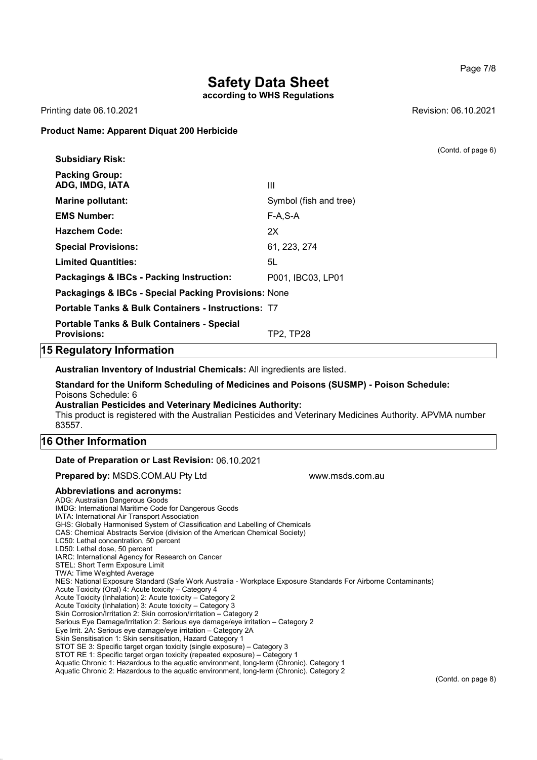according to WHS Regulations

Printing date 06.10.2021 Revision: 06.10.2021

#### Product Name: Apparent Diquat 200 Herbicide

|                                                                             |                        | (Contd. of page 6) |
|-----------------------------------------------------------------------------|------------------------|--------------------|
| <b>Subsidiary Risk:</b>                                                     |                        |                    |
| <b>Packing Group:</b><br>ADG, IMDG, IATA                                    | Ш                      |                    |
| <b>Marine pollutant:</b>                                                    | Symbol (fish and tree) |                    |
| <b>EMS Number:</b>                                                          | $F-A, S-A$             |                    |
| <b>Hazchem Code:</b>                                                        | 2X                     |                    |
| <b>Special Provisions:</b>                                                  | 61, 223, 274           |                    |
| <b>Limited Quantities:</b>                                                  | 5L                     |                    |
| Packagings & IBCs - Packing Instruction:                                    | P001, IBC03, LP01      |                    |
| Packagings & IBCs - Special Packing Provisions: None                        |                        |                    |
| <b>Portable Tanks &amp; Bulk Containers - Instructions: T7</b>              |                        |                    |
| <b>Portable Tanks &amp; Bulk Containers - Special</b><br><b>Provisions:</b> | TP2, TP28              |                    |
|                                                                             |                        |                    |

# 15 Regulatory Information

Australian Inventory of Industrial Chemicals: All ingredients are listed.

Standard for the Uniform Scheduling of Medicines and Poisons (SUSMP) - Poison Schedule: Poisons Schedule: 6 Australian Pesticides and Veterinary Medicines Authority:

This product is registered with the Australian Pesticides and Veterinary Medicines Authority. APVMA number 83557.

# 16 Other Information

#### Date of Preparation or Last Revision: 06.10.2021

**Prepared by:** MSDS.COM.AU Pty Ltd www.msds.com.au

#### Abbreviations and acronyms:

ADG: Australian Dangerous Goods IMDG: International Maritime Code for Dangerous Goods IATA: International Air Transport Association GHS: Globally Harmonised System of Classification and Labelling of Chemicals CAS: Chemical Abstracts Service (division of the American Chemical Society) LC50: Lethal concentration, 50 percent LD50: Lethal dose, 50 percent IARC: International Agency for Research on Cancer STEL: Short Term Exposure Limit TWA: Time Weighted Average NES: National Exposure Standard (Safe Work Australia - Workplace Exposure Standards For Airborne Contaminants) Acute Toxicity (Oral) 4: Acute toxicity – Category 4 Acute Toxicity (Inhalation) 2: Acute toxicity – Category 2 Acute Toxicity (Inhalation) 3: Acute toxicity – Category 3 Skin Corrosion/Irritation 2: Skin corrosion/irritation – Category 2 Serious Eye Damage/Irritation 2: Serious eye damage/eye irritation – Category 2 Eye Irrit. 2A: Serious eye damage/eye irritation – Category 2A Skin Sensitisation 1: Skin sensitisation, Hazard Category 1 STOT SE 3: Specific target organ toxicity (single exposure) – Category 3 STOT RE 1: Specific target organ toxicity (repeated exposure) – Category 1 Aquatic Chronic 1: Hazardous to the aquatic environment, long-term (Chronic). Category 1 Aquatic Chronic 2: Hazardous to the aquatic environment, long-term (Chronic). Category 2